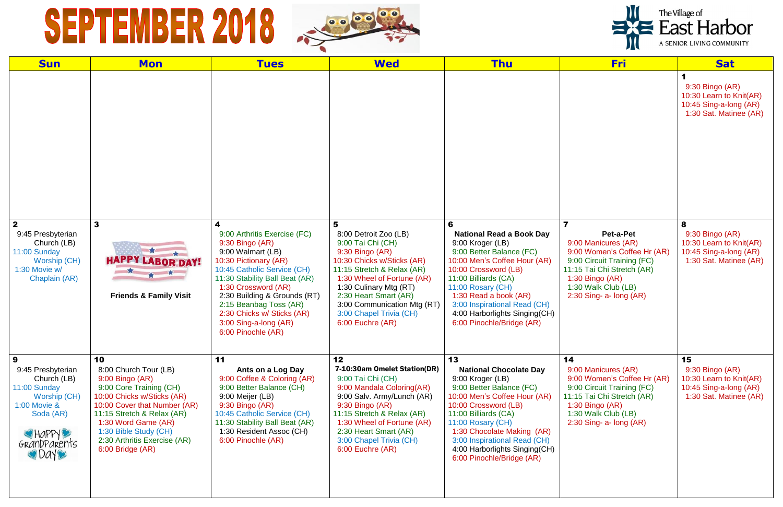## SEPTEMBER 2018 SEPPE



| <b>Sun</b>                                                                                                                                   | <b>Mon</b>                                                                                                                                                                                                                                                                | <b>Tues</b>                                                                                                                                                                                                                                                                                                                       | <b>Wed</b>                                                                                                                                                                                                                                                                                    | <b>Thu</b>                                                                                                                                                                                                                                                                                                           | <b>Fri</b>                                                                                                                                                                                                                      | <b>Sat</b>                                                                                            |
|----------------------------------------------------------------------------------------------------------------------------------------------|---------------------------------------------------------------------------------------------------------------------------------------------------------------------------------------------------------------------------------------------------------------------------|-----------------------------------------------------------------------------------------------------------------------------------------------------------------------------------------------------------------------------------------------------------------------------------------------------------------------------------|-----------------------------------------------------------------------------------------------------------------------------------------------------------------------------------------------------------------------------------------------------------------------------------------------|----------------------------------------------------------------------------------------------------------------------------------------------------------------------------------------------------------------------------------------------------------------------------------------------------------------------|---------------------------------------------------------------------------------------------------------------------------------------------------------------------------------------------------------------------------------|-------------------------------------------------------------------------------------------------------|
|                                                                                                                                              |                                                                                                                                                                                                                                                                           |                                                                                                                                                                                                                                                                                                                                   |                                                                                                                                                                                                                                                                                               |                                                                                                                                                                                                                                                                                                                      |                                                                                                                                                                                                                                 | 9:30 Bingo (AR)<br>10:30 Learn to Knit(AR)<br>10:45 Sing-a-long (AR)<br>1:30 Sat. Matinee (AR)        |
| $\overline{2}$<br>9:45 Presbyterian<br>Church (LB)<br>11:00 Sunday<br><b>Worship (CH)</b><br>1:30 Movie w/<br>Chaplain (AR)                  | $\mathbf{3}$<br><b>HAPPY LABOR DAY!</b><br>★ ★<br><b>Friends &amp; Family Visit</b>                                                                                                                                                                                       | 4<br>9:00 Arthritis Exercise (FC)<br>9:30 Bingo (AR)<br>9:00 Walmart (LB)<br>10:30 Pictionary (AR)<br>10:45 Catholic Service (CH)<br>11:30 Stability Ball Beat (AR)<br>1:30 Crossword (AR)<br>2:30 Building & Grounds (RT)<br>2:15 Beanbag Toss (AR)<br>2:30 Chicks w/ Sticks (AR)<br>3:00 Sing-a-long (AR)<br>6:00 Pinochle (AR) | 5<br>8:00 Detroit Zoo (LB)<br>9:00 Tai Chi (CH)<br>9:30 Bingo (AR)<br>10:30 Chicks w/Sticks (AR)<br>11:15 Stretch & Relax (AR)<br>1:30 Wheel of Fortune (AR)<br>1:30 Culinary Mtg (RT)<br>2:30 Heart Smart (AR)<br>3:00 Communication Mtg (RT)<br>3:00 Chapel Trivia (CH)<br>6:00 Euchre (AR) | 6<br><b>National Read a Book Day</b><br>9:00 Kroger (LB)<br>9:00 Better Balance (FC)<br>10:00 Men's Coffee Hour (AR)<br>10:00 Crossword (LB)<br>11:00 Billiards (CA)<br>11:00 Rosary (CH)<br>1:30 Read a book (AR)<br>3:00 Inspirational Read (CH)<br>4:00 Harborlights Singing(CH)<br>6:00 Pinochle/Bridge (AR)     | $\overline{\mathbf{7}}$<br>Pet-a-Pet<br>9:00 Manicures (AR)<br>9:00 Women's Coffee Hr (AR)<br>9:00 Circuit Training (FC)<br>11:15 Tai Chi Stretch (AR)<br>1:30 Bingo (AR)<br>1:30 Walk Club (LB)<br>$2:30$ Sing- a- long $(AR)$ | 8<br>$9:30$ Bingo (AR)<br>10:30 Learn to Knit(AR)<br>10:45 Sing-a-long (AR)<br>1:30 Sat. Matinee (AR) |
| 9<br>9:45 Presbyterian<br>Church (LB)<br>11:00 Sunday<br><b>Worship (CH)</b><br>1:00 Movie &<br>Soda (AR)<br>CHAPPY<br>GRANDPARENTS<br>ODAYO | 10<br>8:00 Church Tour (LB)<br>9:00 Bingo (AR)<br>9:00 Core Training (CH)<br>10:00 Chicks w/Sticks (AR)<br>10:00 Cover that Number (AR)<br>11:15 Stretch & Relax (AR)<br>1:30 Word Game (AR)<br>1:30 Bible Study (CH)<br>2:30 Arthritis Exercise (AR)<br>6:00 Bridge (AR) | 11<br>Ants on a Log Day<br>9:00 Coffee & Coloring (AR)<br>9:00 Better Balance (CH)<br>9:00 Meijer (LB)<br>9:30 Bingo (AR)<br>10:45 Catholic Service (CH)<br>11:30 Stability Ball Beat (AR)<br>1:30 Resident Assoc (CH)<br>6:00 Pinochle (AR)                                                                                      | 12<br>7-10:30am Omelet Station(DR)<br>9:00 Tai Chi (CH)<br>9:00 Mandala Coloring(AR)<br>9:00 Salv. Army/Lunch (AR)<br>9:30 Bingo (AR)<br>11:15 Stretch & Relax (AR)<br>1:30 Wheel of Fortune (AR)<br>2:30 Heart Smart (AR)<br>3:00 Chapel Trivia (CH)<br>6:00 Euchre (AR)                     | 13<br><b>National Chocolate Day</b><br>9:00 Kroger (LB)<br>9:00 Better Balance (FC)<br>10:00 Men's Coffee Hour (AR)<br>10:00 Crossword (LB)<br>11:00 Billiards (CA)<br>11:00 Rosary (CH)<br>1:30 Chocolate Making (AR)<br>3:00 Inspirational Read (CH)<br>4:00 Harborlights Singing(CH)<br>6:00 Pinochle/Bridge (AR) | 14<br>9:00 Manicures (AR)<br>9:00 Women's Coffee Hr (AR)<br>9:00 Circuit Training (FC)<br>11:15 Tai Chi Stretch (AR)<br>1:30 Bingo (AR)<br>1:30 Walk Club (LB)<br>$2:30$ Sing- a- long $(AR)$                                   | 15<br>9:30 Bingo (AR)<br>10:30 Learn to Knit(AR)<br>10:45 Sing-a-long (AR)<br>1:30 Sat. Matinee (AR)  |



The Village of<br>
East Harbor

A SENIOR LIVING COMMUNITY